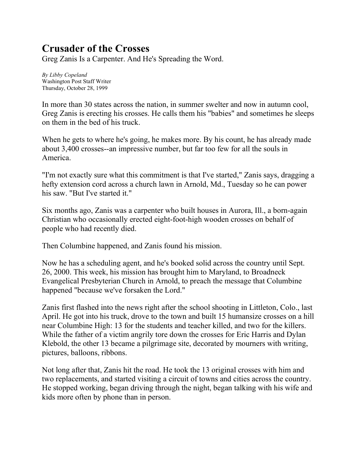## **Crusader of the Crosses**

Greg Zanis Is a Carpenter. And He's Spreading the Word.

*By Libby Copeland* Washington Post Staff Writer Thursday, October 28, 1999

In more than 30 states across the nation, in summer swelter and now in autumn cool, Greg Zanis is erecting his crosses. He calls them his "babies" and sometimes he sleeps on them in the bed of his truck.

When he gets to where he's going, he makes more. By his count, he has already made about 3,400 crosses--an impressive number, but far too few for all the souls in America.

"I'm not exactly sure what this commitment is that I've started," Zanis says, dragging a hefty extension cord across a church lawn in Arnold, Md., Tuesday so he can power his saw. "But I've started it."

Six months ago, Zanis was a carpenter who built houses in Aurora, Ill., a born-again Christian who occasionally erected eight-foot-high wooden crosses on behalf of people who had recently died.

Then Columbine happened, and Zanis found his mission.

Now he has a scheduling agent, and he's booked solid across the country until Sept. 26, 2000. This week, his mission has brought him to Maryland, to Broadneck Evangelical Presbyterian Church in Arnold, to preach the message that Columbine happened "because we've forsaken the Lord."

Zanis first flashed into the news right after the school shooting in Littleton, Colo., last April. He got into his truck, drove to the town and built 15 humansize crosses on a hill near Columbine High: 13 for the students and teacher killed, and two for the killers. While the father of a victim angrily tore down the crosses for Eric Harris and Dylan Klebold, the other 13 became a pilgrimage site, decorated by mourners with writing, pictures, balloons, ribbons.

Not long after that, Zanis hit the road. He took the 13 original crosses with him and two replacements, and started visiting a circuit of towns and cities across the country. He stopped working, began driving through the night, began talking with his wife and kids more often by phone than in person.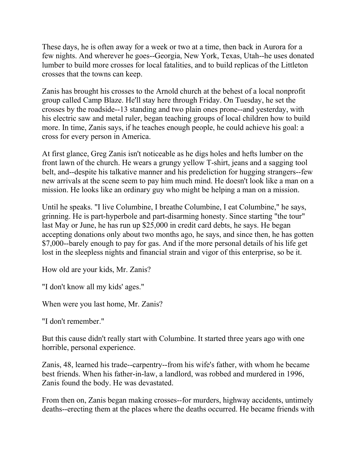These days, he is often away for a week or two at a time, then back in Aurora for a few nights. And wherever he goes--Georgia, New York, Texas, Utah--he uses donated lumber to build more crosses for local fatalities, and to build replicas of the Littleton crosses that the towns can keep.

Zanis has brought his crosses to the Arnold church at the behest of a local nonprofit group called Camp Blaze. He'll stay here through Friday. On Tuesday, he set the crosses by the roadside--13 standing and two plain ones prone--and yesterday, with his electric saw and metal ruler, began teaching groups of local children how to build more. In time, Zanis says, if he teaches enough people, he could achieve his goal: a cross for every person in America.

At first glance, Greg Zanis isn't noticeable as he digs holes and hefts lumber on the front lawn of the church. He wears a grungy yellow T-shirt, jeans and a sagging tool belt, and--despite his talkative manner and his predeliction for hugging strangers--few new arrivals at the scene seem to pay him much mind. He doesn't look like a man on a mission. He looks like an ordinary guy who might be helping a man on a mission.

Until he speaks. "I live Columbine, I breathe Columbine, I eat Columbine," he says, grinning. He is part-hyperbole and part-disarming honesty. Since starting "the tour" last May or June, he has run up \$25,000 in credit card debts, he says. He began accepting donations only about two months ago, he says, and since then, he has gotten \$7,000--barely enough to pay for gas. And if the more personal details of his life get lost in the sleepless nights and financial strain and vigor of this enterprise, so be it.

How old are your kids, Mr. Zanis?

"I don't know all my kids' ages."

When were you last home, Mr. Zanis?

"I don't remember."

But this cause didn't really start with Columbine. It started three years ago with one horrible, personal experience.

Zanis, 48, learned his trade--carpentry--from his wife's father, with whom he became best friends. When his father-in-law, a landlord, was robbed and murdered in 1996, Zanis found the body. He was devastated.

From then on, Zanis began making crosses--for murders, highway accidents, untimely deaths--erecting them at the places where the deaths occurred. He became friends with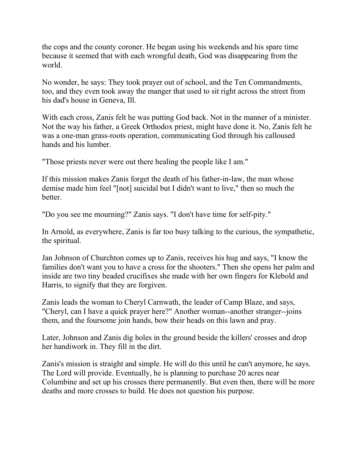the cops and the county coroner. He began using his weekends and his spare time because it seemed that with each wrongful death, God was disappearing from the world.

No wonder, he says: They took prayer out of school, and the Ten Commandments, too, and they even took away the manger that used to sit right across the street from his dad's house in Geneva, Ill.

With each cross, Zanis felt he was putting God back. Not in the manner of a minister. Not the way his father, a Greek Orthodox priest, might have done it. No, Zanis felt he was a one-man grass-roots operation, communicating God through his calloused hands and his lumber.

"Those priests never were out there healing the people like I am."

If this mission makes Zanis forget the death of his father-in-law, the man whose demise made him feel "[not] suicidal but I didn't want to live," then so much the better.

"Do you see me mourning?" Zanis says. "I don't have time for self-pity."

In Arnold, as everywhere, Zanis is far too busy talking to the curious, the sympathetic, the spiritual.

Jan Johnson of Churchton comes up to Zanis, receives his hug and says, "I know the families don't want you to have a cross for the shooters." Then she opens her palm and inside are two tiny beaded crucifixes she made with her own fingers for Klebold and Harris, to signify that they are forgiven.

Zanis leads the woman to Cheryl Carnwath, the leader of Camp Blaze, and says, "Cheryl, can I have a quick prayer here?" Another woman--another stranger--joins them, and the foursome join hands, bow their heads on this lawn and pray.

Later, Johnson and Zanis dig holes in the ground beside the killers' crosses and drop her handiwork in. They fill in the dirt.

Zanis's mission is straight and simple. He will do this until he can't anymore, he says. The Lord will provide. Eventually, he is planning to purchase 20 acres near Columbine and set up his crosses there permanently. But even then, there will be more deaths and more crosses to build. He does not question his purpose.